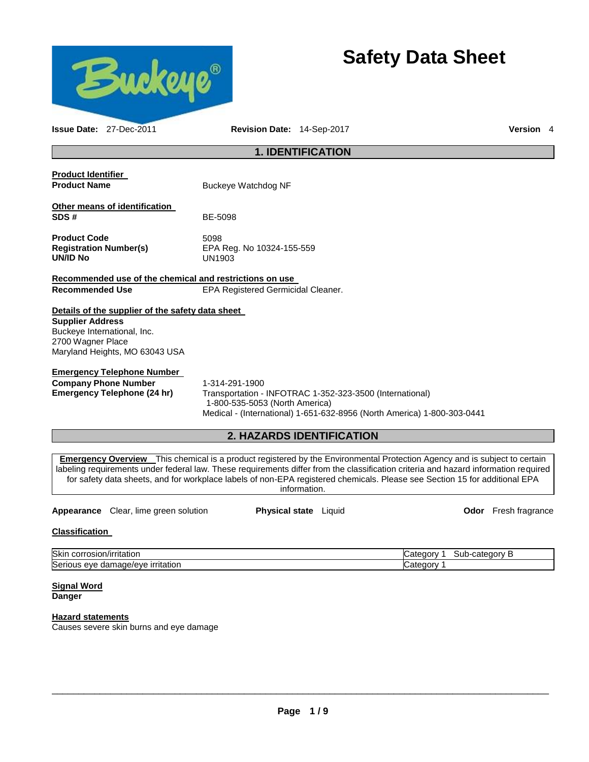

# **Safety Data Sheet**

| <b>Issue Date: 27-Dec-2011</b>                          | <b>Revision Date: 14-Sep-2017</b>                                                                                                                                                                                                                                                                                                                                                                                     | Version 4 |  |
|---------------------------------------------------------|-----------------------------------------------------------------------------------------------------------------------------------------------------------------------------------------------------------------------------------------------------------------------------------------------------------------------------------------------------------------------------------------------------------------------|-----------|--|
| <b>1. IDENTIFICATION</b>                                |                                                                                                                                                                                                                                                                                                                                                                                                                       |           |  |
| <b>Product Identifier</b>                               |                                                                                                                                                                                                                                                                                                                                                                                                                       |           |  |
| <b>Product Name</b>                                     | Buckeye Watchdog NF                                                                                                                                                                                                                                                                                                                                                                                                   |           |  |
| Other means of identification                           |                                                                                                                                                                                                                                                                                                                                                                                                                       |           |  |
| SDS#                                                    | BE-5098                                                                                                                                                                                                                                                                                                                                                                                                               |           |  |
| <b>Product Code</b>                                     | 5098                                                                                                                                                                                                                                                                                                                                                                                                                  |           |  |
| <b>Registration Number(s)</b>                           | EPA Reg. No 10324-155-559                                                                                                                                                                                                                                                                                                                                                                                             |           |  |
| <b>UN/ID No</b>                                         | UN1903                                                                                                                                                                                                                                                                                                                                                                                                                |           |  |
| Recommended use of the chemical and restrictions on use |                                                                                                                                                                                                                                                                                                                                                                                                                       |           |  |
| <b>Recommended Use</b>                                  | EPA Registered Germicidal Cleaner.                                                                                                                                                                                                                                                                                                                                                                                    |           |  |
| Details of the supplier of the safety data sheet        |                                                                                                                                                                                                                                                                                                                                                                                                                       |           |  |
| <b>Supplier Address</b>                                 |                                                                                                                                                                                                                                                                                                                                                                                                                       |           |  |
| Buckeye International, Inc.                             |                                                                                                                                                                                                                                                                                                                                                                                                                       |           |  |
| 2700 Wagner Place                                       |                                                                                                                                                                                                                                                                                                                                                                                                                       |           |  |
| Maryland Heights, MO 63043 USA                          |                                                                                                                                                                                                                                                                                                                                                                                                                       |           |  |
| <b>Emergency Telephone Number</b>                       |                                                                                                                                                                                                                                                                                                                                                                                                                       |           |  |
| <b>Company Phone Number</b>                             | 1-314-291-1900                                                                                                                                                                                                                                                                                                                                                                                                        |           |  |
| <b>Emergency Telephone (24 hr)</b>                      | Transportation - INFOTRAC 1-352-323-3500 (International)                                                                                                                                                                                                                                                                                                                                                              |           |  |
|                                                         | 1-800-535-5053 (North America)                                                                                                                                                                                                                                                                                                                                                                                        |           |  |
|                                                         | Medical - (International) 1-651-632-8956 (North America) 1-800-303-0441                                                                                                                                                                                                                                                                                                                                               |           |  |
|                                                         | <b>2. HAZARDS IDENTIFICATION</b>                                                                                                                                                                                                                                                                                                                                                                                      |           |  |
|                                                         |                                                                                                                                                                                                                                                                                                                                                                                                                       |           |  |
|                                                         | <b>Emergency Overview</b> This chemical is a product registered by the Environmental Protection Agency and is subject to certain<br>labeling requirements under federal law. These requirements differ from the classification criteria and hazard information required<br>for safety data sheets, and for workplace labels of non-EPA registered chemicals. Please see Section 15 for additional EPA<br>information. |           |  |
|                                                         |                                                                                                                                                                                                                                                                                                                                                                                                                       |           |  |

Appearance Clear, lime green solution **Physical state** Liquid **Constant Constant Clear** Fresh fragrance

# **Classification**

| <b>Skir</b><br>/irritatior<br>JOF "<br>usiu                          | $\sim$ $\sim$ $\sim$ $\sim$ $\sim$<br>----<br>sub-<br>ാസ :<br>Jdl⊬<br>. . |
|----------------------------------------------------------------------|---------------------------------------------------------------------------|
| Seri<br>ır<br><b>ritatior</b><br>ade/eve a<br>١С<br>eve<br>uar<br>uo | ----                                                                      |

**Signal Word Danger** 

# **Hazard statements**

Causes severe skin burns and eye damage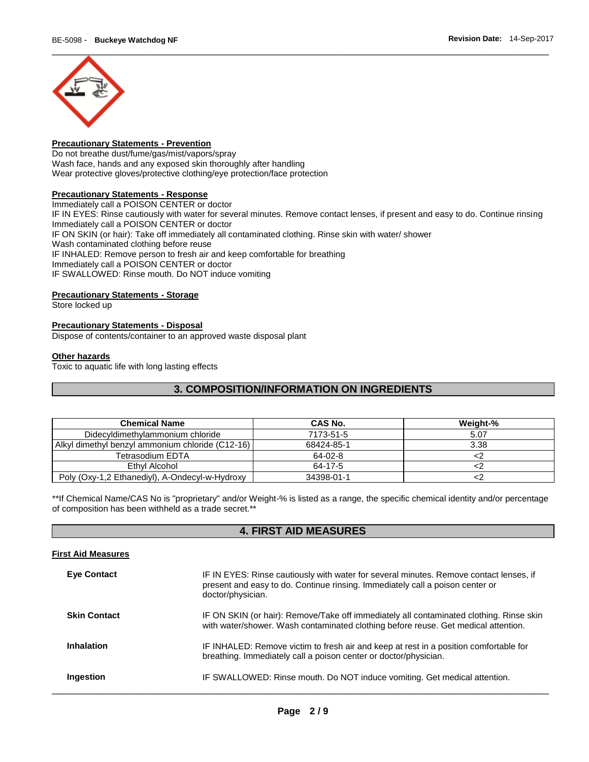

# **Precautionary Statements - Prevention**

Do not breathe dust/fume/gas/mist/vapors/spray Wash face, hands and any exposed skin thoroughly after handling Wear protective gloves/protective clothing/eye protection/face protection

#### **Precautionary Statements - Response**

Immediately call a POISON CENTER or doctor IF IN EYES: Rinse cautiously with water for several minutes. Remove contact lenses, if present and easy to do. Continue rinsing Immediately call a POISON CENTER or doctor IF ON SKIN (or hair): Take off immediately all contaminated clothing. Rinse skin with water/ shower Wash contaminated clothing before reuse IF INHALED: Remove person to fresh air and keep comfortable for breathing Immediately call a POISON CENTER or doctor IF SWALLOWED: Rinse mouth. Do NOT induce vomiting

#### **Precautionary Statements - Storage**

Store locked up

#### **Precautionary Statements - Disposal**

Dispose of contents/container to an approved waste disposal plant

#### **Other hazards**

Toxic to aquatic life with long lasting effects

# **3. COMPOSITION/INFORMATION ON INGREDIENTS**

| <b>Chemical Name</b>                             | CAS No.    | Weight-% |
|--------------------------------------------------|------------|----------|
| Didecyldimethylammonium chloride                 | 7173-51-5  | 5.07     |
| Alkyl dimethyl benzyl ammonium chloride (C12-16) | 68424-85-1 | 3.38     |
| Tetrasodium EDTA                                 | 64-02-8    |          |
| Ethyl Alcohol                                    | 64-17-5    |          |
| Poly (Oxy-1,2 Ethanediyl), A-Ondecyl-w-Hydroxy   | 34398-01-1 |          |

\*\*If Chemical Name/CAS No is "proprietary" and/or Weight-% is listed as a range, the specific chemical identity and/or percentage of composition has been withheld as a trade secret.\*\*

# **4. FIRST AID MEASURES**

#### **First Aid Measures**

| <b>Eve Contact</b>  | IF IN EYES: Rinse cautiously with water for several minutes. Remove contact lenses, if<br>present and easy to do. Continue rinsing. Immediately call a poison center or<br>doctor/physician. |
|---------------------|----------------------------------------------------------------------------------------------------------------------------------------------------------------------------------------------|
| <b>Skin Contact</b> | IF ON SKIN (or hair): Remove/Take off immediately all contaminated clothing. Rinse skin<br>with water/shower. Wash contaminated clothing before reuse. Get medical attention.                |
| <b>Inhalation</b>   | IF INHALED: Remove victim to fresh air and keep at rest in a position comfortable for<br>breathing. Immediately call a poison center or doctor/physician.                                    |
| Ingestion           | IF SWALLOWED: Rinse mouth. Do NOT induce vomiting. Get medical attention.                                                                                                                    |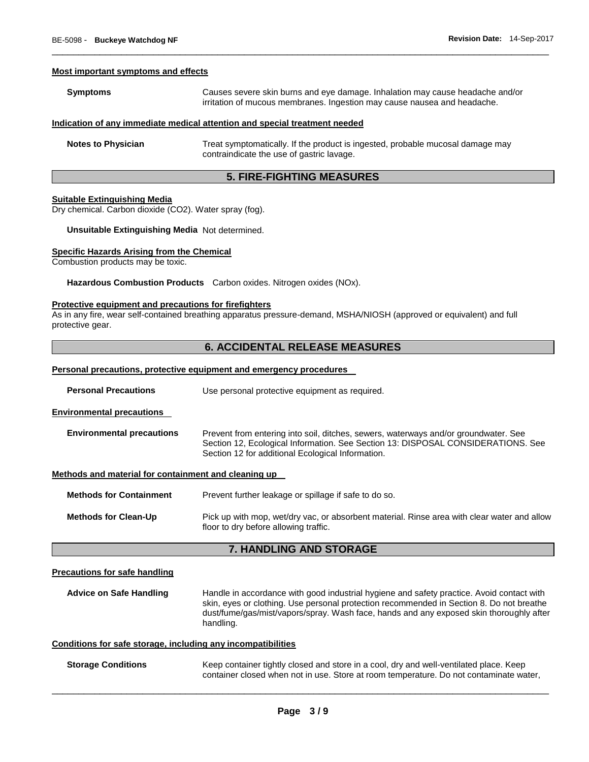#### **Most important symptoms and effects**

| <b>Symptoms</b> | Causes severe skin burns and eye damage. Inhalation may cause headache and/or<br>irritation of mucous membranes. Ingestion may cause nausea and headache. |
|-----------------|-----------------------------------------------------------------------------------------------------------------------------------------------------------|
|                 |                                                                                                                                                           |

\_\_\_\_\_\_\_\_\_\_\_\_\_\_\_\_\_\_\_\_\_\_\_\_\_\_\_\_\_\_\_\_\_\_\_\_\_\_\_\_\_\_\_\_\_\_\_\_\_\_\_\_\_\_\_\_\_\_\_\_\_\_\_\_\_\_\_\_\_\_\_\_\_\_\_\_\_\_\_\_\_\_\_\_\_\_\_\_\_\_\_\_\_

#### **Indication of any immediate medical attention and special treatment needed**

**Notes to Physician Treat symptomatically.** If the product is ingested, probable mucosal damage may contraindicate the use of gastric lavage.

# **5. FIRE-FIGHTING MEASURES**

#### **Suitable Extinguishing Media**

Dry chemical. Carbon dioxide (CO2). Water spray (fog).

**Unsuitable Extinguishing Media** Not determined.

#### **Specific Hazards Arising from the Chemical**

Combustion products may be toxic.

**Hazardous Combustion Products** Carbon oxides. Nitrogen oxides (NOx).

#### **Protective equipment and precautions for firefighters**

As in any fire, wear self-contained breathing apparatus pressure-demand, MSHA/NIOSH (approved or equivalent) and full protective gear.

#### **6. ACCIDENTAL RELEASE MEASURES**

#### **Personal precautions, protective equipment and emergency procedures**

**Personal Precautions Use personal protective equipment as required.** 

**Environmental precautions** 

| <b>Environmental precautions</b> | Prevent from entering into soil, ditches, sewers, waterways and/or groundwater. See |
|----------------------------------|-------------------------------------------------------------------------------------|
|                                  | Section 12, Ecological Information. See Section 13: DISPOSAL CONSIDERATIONS. See    |
|                                  | Section 12 for additional Ecological Information.                                   |

#### **Methods and material for containment and cleaning up**

| <b>Methods for Containment</b> | Prevent further leakage or spillage if safe to do so.                                                                                |
|--------------------------------|--------------------------------------------------------------------------------------------------------------------------------------|
| <b>Methods for Clean-Up</b>    | Pick up with mop, wet/dry vac, or absorbent material. Rinse area with clear water and allow<br>floor to dry before allowing traffic. |

#### **7. HANDLING AND STORAGE**

#### **Precautions for safe handling**

**Advice on Safe Handling** Handle in accordance with good industrial hygiene and safety practice. Avoid contact with skin, eyes or clothing. Use personal protection recommended in Section 8. Do not breathe dust/fume/gas/mist/vapors/spray. Wash face, hands and any exposed skin thoroughly after handling.

#### **Conditions for safe storage, including any incompatibilities**

**Storage Conditions Keep container tightly closed and store in a cool, dry and well-ventilated place. Keep** container closed when not in use. Store at room temperature. Do not contaminate water,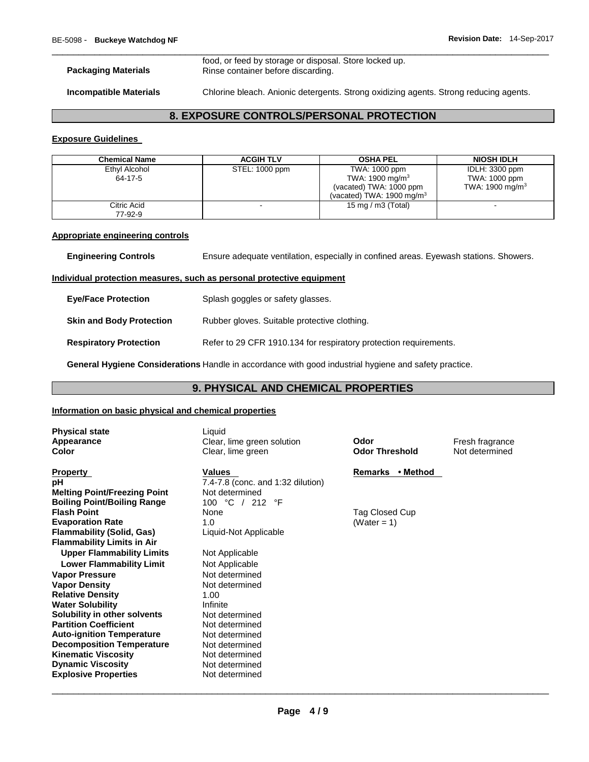\_\_\_\_\_\_\_\_\_\_\_\_\_\_\_\_\_\_\_\_\_\_\_\_\_\_\_\_\_\_\_\_\_\_\_\_\_\_\_\_\_\_\_\_\_\_\_\_\_\_\_\_\_\_\_\_\_\_\_\_\_\_\_\_\_\_\_\_\_\_\_\_\_\_\_\_\_\_\_\_\_\_\_\_\_\_\_\_\_\_\_\_\_ food, or feed by storage or disposal. Store locked up. **Packaging Materials Rinse container before discarding.** 

**Incompatible Materials** Chlorine bleach. Anionic detergents. Strong oxidizing agents. Strong reducing agents.

# **8. EXPOSURE CONTROLS/PERSONAL PROTECTION**

#### **Exposure Guidelines**

| <b>Chemical Name</b>     | <b>ACGIH TLV</b> | <b>OSHA PEL</b>                                                                                                 | <b>NIOSH IDLH</b>                                     |
|--------------------------|------------------|-----------------------------------------------------------------------------------------------------------------|-------------------------------------------------------|
| Ethyl Alcohol<br>64-17-5 | STEL: 1000 ppm   | TWA: 1000 ppm<br>TWA: 1900 mg/m <sup>3</sup><br>(vacated) TWA: 1000 ppm<br>(vacated) TWA: $1900 \text{ mg/m}^3$ | IDLH: 3300 ppm<br>TWA: 1000 ppm<br>TWA: 1900 mg/m $3$ |
| Citric Acid<br>77-92-9   |                  | 15 mg / m $3$ (Total)                                                                                           |                                                       |

#### **Appropriate engineering controls**

**Engineering Controls** Ensure adequate ventilation, especially in confined areas. Eyewash stations. Showers.

#### **Individual protection measures, such as personal protective equipment**

| <b>Eye/Face Protection</b>      | Splash goggles or safety glasses.                                 |
|---------------------------------|-------------------------------------------------------------------|
| <b>Skin and Body Protection</b> | Rubber gloves. Suitable protective clothing.                      |
| <b>Respiratory Protection</b>   | Refer to 29 CFR 1910.134 for respiratory protection requirements. |

**General Hygiene Considerations** Handle in accordance with good industrial hygiene and safety practice.

# **9. PHYSICAL AND CHEMICAL PROPERTIES**

#### **Information on basic physical and chemical properties**

| <b>Physical state</b><br>Appearance<br>Color | Liquid<br>Clear, lime green solution<br>Clear, lime green | Odor<br><b>Odor Threshold</b> | Fresh fragrance<br>Not determined |
|----------------------------------------------|-----------------------------------------------------------|-------------------------------|-----------------------------------|
| <b>Property</b>                              | Values                                                    | Remarks • Method              |                                   |
| рH                                           | 7.4-7.8 (conc. and 1:32 dilution)                         |                               |                                   |
| <b>Melting Point/Freezing Point</b>          | Not determined                                            |                               |                                   |
| <b>Boiling Point/Boiling Range</b>           | 100 °C / 212 °F                                           |                               |                                   |
| <b>Flash Point</b>                           | None                                                      | Tag Closed Cup                |                                   |
| <b>Evaporation Rate</b>                      | 1.0                                                       | (Water = 1)                   |                                   |
| <b>Flammability (Solid, Gas)</b>             | Liquid-Not Applicable                                     |                               |                                   |
| <b>Flammability Limits in Air</b>            |                                                           |                               |                                   |
| <b>Upper Flammability Limits</b>             | Not Applicable                                            |                               |                                   |
| <b>Lower Flammability Limit</b>              | Not Applicable                                            |                               |                                   |
| <b>Vapor Pressure</b>                        | Not determined                                            |                               |                                   |
| <b>Vapor Density</b>                         | Not determined                                            |                               |                                   |
| <b>Relative Density</b>                      | 1.00                                                      |                               |                                   |
| <b>Water Solubility</b>                      | Infinite                                                  |                               |                                   |
| Solubility in other solvents                 | Not determined                                            |                               |                                   |
| <b>Partition Coefficient</b>                 | Not determined                                            |                               |                                   |
| <b>Auto-ignition Temperature</b>             | Not determined                                            |                               |                                   |
| <b>Decomposition Temperature</b>             | Not determined                                            |                               |                                   |
| <b>Kinematic Viscosity</b>                   | Not determined                                            |                               |                                   |
| <b>Dynamic Viscosity</b>                     | Not determined                                            |                               |                                   |
| <b>Explosive Properties</b>                  | Not determined                                            |                               |                                   |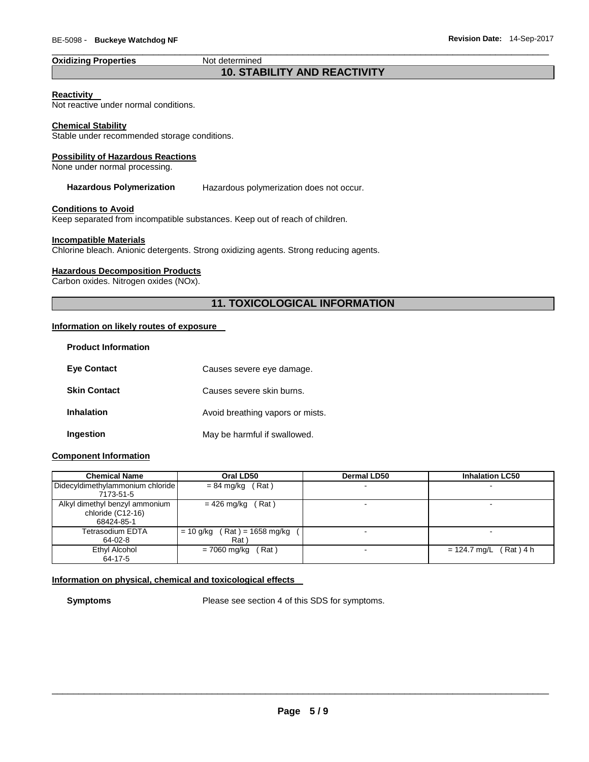# **Oxidizing Properties Not determined**

# \_\_\_\_\_\_\_\_\_\_\_\_\_\_\_\_\_\_\_\_\_\_\_\_\_\_\_\_\_\_\_\_\_\_\_\_\_\_\_\_\_\_\_\_\_\_\_\_\_\_\_\_\_\_\_\_\_\_\_\_\_\_\_\_\_\_\_\_\_\_\_\_\_\_\_\_\_\_\_\_\_\_\_\_\_\_\_\_\_\_\_\_\_ **10. STABILITY AND REACTIVITY**

### **Reactivity**

Not reactive under normal conditions.

#### **Chemical Stability**

Stable under recommended storage conditions.

#### **Possibility of Hazardous Reactions**

None under normal processing.

**Hazardous Polymerization** Hazardous polymerization does not occur.

# **Conditions to Avoid**

Keep separated from incompatible substances. Keep out of reach of children.

#### **Incompatible Materials**

Chlorine bleach. Anionic detergents. Strong oxidizing agents. Strong reducing agents.

#### **Hazardous Decomposition Products**

Carbon oxides. Nitrogen oxides (NOx).

# **11. TOXICOLOGICAL INFORMATION**

#### **Information on likely routes of exposure**

| <b>Product Information</b> |                                  |
|----------------------------|----------------------------------|
| <b>Eye Contact</b>         | Causes severe eye damage.        |
| <b>Skin Contact</b>        | Causes severe skin burns.        |
| <b>Inhalation</b>          | Avoid breathing vapors or mists. |
| Ingestion                  | May be harmful if swallowed.     |

### **Component Information**

| <b>Chemical Name</b>                                              | Oral LD50                                            | <b>Dermal LD50</b> | <b>Inhalation LC50</b>      |
|-------------------------------------------------------------------|------------------------------------------------------|--------------------|-----------------------------|
| Didecyldimethylammonium chloride<br>7173-51-5                     | $= 84$ mg/kg (Rat)                                   | $\blacksquare$     |                             |
| Alkyl dimethyl benzyl ammonium<br>chloride (C12-16)<br>68424-85-1 | $= 426$ mg/kg (Rat)                                  | -                  |                             |
| Tetrasodium EDTA<br>64-02-8                                       | $(Rat) = 1658 \text{ mg/kg}$<br>$= 10$ g/kg<br>Rat \ | $\blacksquare$     |                             |
| Ethyl Alcohol<br>64-17-5                                          | (Rat)<br>= 7060 mg/kg                                | ۰                  | $(Rat)$ 4 h<br>= 124.7 mg/L |

# **Information on physical, chemical and toxicological effects**

**Symptoms** Please see section 4 of this SDS for symptoms.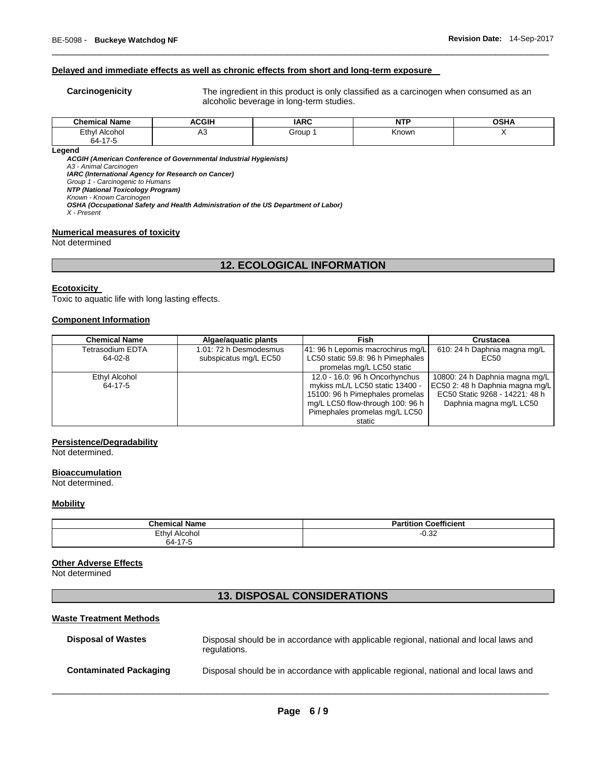#### **Delayed and immediate effects as well as chronic effects from short and long-term exposure**

**Carcinogenicity** The ingredient in this product is only classified as a carcinogen when consumed as an alcoholic beverage in long-term studies.

| <b>Chemical Name</b>        | <b>ACGIH</b> | <b>IARC</b> | .<br>N<br>. | ៱៰៶៲៱<br>אחסי |
|-----------------------------|--------------|-------------|-------------|---------------|
| Ethyl<br>Alcohol<br>64-17-5 | ∾            | Group       | Known       |               |

\_\_\_\_\_\_\_\_\_\_\_\_\_\_\_\_\_\_\_\_\_\_\_\_\_\_\_\_\_\_\_\_\_\_\_\_\_\_\_\_\_\_\_\_\_\_\_\_\_\_\_\_\_\_\_\_\_\_\_\_\_\_\_\_\_\_\_\_\_\_\_\_\_\_\_\_\_\_\_\_\_\_\_\_\_\_\_\_\_\_\_\_\_

**Legend** 

*ACGIH (American Conference of Governmental Industrial Hygienists)*

*A3 - Animal Carcinogen* 

*IARC (International Agency for Research on Cancer)*

*Group 1 - Carcinogenic to Humans NTP (National Toxicology Program)*

*Known - Known Carcinogen* 

*OSHA (Occupational Safety and Health Administration of the US Department of Labor)*

*X - Present* 

**Numerical measures of toxicity**

Not determined

# **12. ECOLOGICAL INFORMATION**

#### **Ecotoxicity**

Toxic to aquatic life with long lasting effects.

#### **Component Information**

| <b>Chemical Name</b> | Algae/aguatic plants   | Fish                              | Crustacea                       |
|----------------------|------------------------|-----------------------------------|---------------------------------|
| Tetrasodium EDTA     | 1.01: 72 h Desmodesmus | 41: 96 h Lepomis macrochirus mg/L | 610: 24 h Daphnia magna mg/L    |
| $64-02-8$            | subspicatus mg/L EC50  | LC50 static 59.8: 96 h Pimephales | EC50                            |
|                      |                        | promelas mg/L LC50 static         |                                 |
| Ethyl Alcohol        |                        | 12.0 - 16.0: 96 h Oncorhynchus    | 10800: 24 h Daphnia magna mg/L  |
| 64-17-5              |                        | mykiss mL/L LC50 static 13400 -   | EC50 2: 48 h Daphnia magna mg/L |
|                      |                        | 15100: 96 h Pimephales promelas   | EC50 Static 9268 - 14221: 48 h  |
|                      |                        | mg/L LC50 flow-through 100: 96 h  | Daphnia magna mg/L LC50         |
|                      |                        | Pimephales promelas mg/L LC50     |                                 |
|                      |                        | static                            |                                 |

#### **Persistence/Degradability**

Not determined.

#### **Bioaccumulation**

Not determined.

#### **Mobility**

| <b>Chemical Name</b>                             | <b>Coefficient</b><br>Partition |
|--------------------------------------------------|---------------------------------|
| Ethyl<br>Alcohol<br>$\rightarrow$<br>$64 -$<br>. | 1.25<br>--<br>∪.ა∠              |

#### **Other Adverse Effects**

Not determined

# **13. DISPOSAL CONSIDERATIONS**

# **Waste Treatment Methods**

| <b>Disposal of Wastes</b>     | Disposal should be in accordance with applicable regional, national and local laws and<br>regulations. |
|-------------------------------|--------------------------------------------------------------------------------------------------------|
| <b>Contaminated Packaging</b> | Disposal should be in accordance with applicable regional, national and local laws and                 |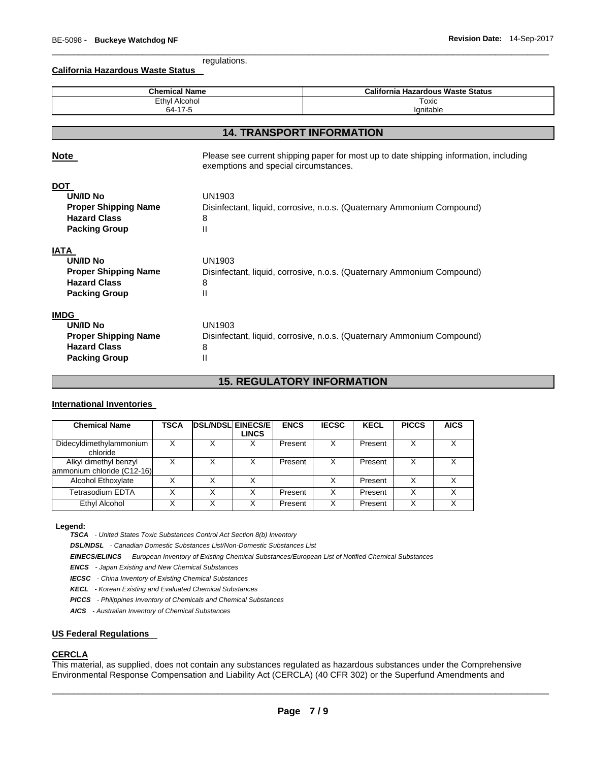\_\_\_\_\_\_\_\_\_\_\_\_\_\_\_\_\_\_\_\_\_\_\_\_\_\_\_\_\_\_\_\_\_\_\_\_\_\_\_\_\_\_\_\_\_\_\_\_\_\_\_\_\_\_\_\_\_\_\_\_\_\_\_\_\_\_\_\_\_\_\_\_\_\_\_\_\_\_\_\_\_\_\_\_\_\_\_\_\_\_\_\_\_ regulations.

**California Hazardous Waste Status** 

| <b>Chemical Name</b><br><b>Ethyl Alcohol</b>                                                                 |                                                                                                                                | <b>California Hazardous Waste Status</b>                               |  |  |  |  |
|--------------------------------------------------------------------------------------------------------------|--------------------------------------------------------------------------------------------------------------------------------|------------------------------------------------------------------------|--|--|--|--|
|                                                                                                              |                                                                                                                                | Toxic                                                                  |  |  |  |  |
| Ignitable<br>64-17-5                                                                                         |                                                                                                                                |                                                                        |  |  |  |  |
| <b>14. TRANSPORT INFORMATION</b>                                                                             |                                                                                                                                |                                                                        |  |  |  |  |
|                                                                                                              |                                                                                                                                |                                                                        |  |  |  |  |
| <b>Note</b>                                                                                                  | Please see current shipping paper for most up to date shipping information, including<br>exemptions and special circumstances. |                                                                        |  |  |  |  |
| <b>DOT</b><br><b>UN/ID No</b><br><b>Proper Shipping Name</b><br><b>Hazard Class</b><br><b>Packing Group</b>  | UN1903<br>Disinfectant, liquid, corrosive, n.o.s. (Quaternary Ammonium Compound)<br>8<br>Ш                                     |                                                                        |  |  |  |  |
| <b>IATA</b><br><b>UN/ID No</b><br><b>Proper Shipping Name</b><br><b>Hazard Class</b><br><b>Packing Group</b> | UN1903<br>8<br>Ш                                                                                                               | Disinfectant, liquid, corrosive, n.o.s. (Quaternary Ammonium Compound) |  |  |  |  |
| <b>IMDG</b><br><b>UN/ID No</b><br><b>Proper Shipping Name</b><br><b>Hazard Class</b><br><b>Packing Group</b> | UN1903<br>8<br>Ш                                                                                                               | Disinfectant, liquid, corrosive, n.o.s. (Quaternary Ammonium Compound) |  |  |  |  |

# **15. REGULATORY INFORMATION**

#### **International Inventories**

| <b>Chemical Name</b>                                | TSCA | <b>DSL/NDSL EINECS/E</b> | <b>LINCS</b> | <b>ENCS</b> | <b>IECSC</b> | <b>KECL</b> | <b>PICCS</b> | <b>AICS</b> |
|-----------------------------------------------------|------|--------------------------|--------------|-------------|--------------|-------------|--------------|-------------|
| Didecyldimethylammonium<br>chloride                 | х    | х                        |              | Present     | X            | Present     | X            |             |
| Alkyl dimethyl benzyl<br>ammonium chloride (C12-16) |      | X                        |              | Present     | х            | Present     | X            |             |
| Alcohol Ethoxylate                                  |      | X                        |              |             |              | Present     | x            |             |
| Tetrasodium EDTA                                    |      | Χ                        |              | Present     | x            | Present     | X            |             |
| Ethyl Alcohol                                       |      | Χ                        |              | Present     | x            | Present     | X            | ∧           |

#### **Legend:**

*TSCA - United States Toxic Substances Control Act Section 8(b) Inventory* 

*DSL/NDSL - Canadian Domestic Substances List/Non-Domestic Substances List* 

*EINECS/ELINCS - European Inventory of Existing Chemical Substances/European List of Notified Chemical Substances* 

*ENCS - Japan Existing and New Chemical Substances* 

*IECSC - China Inventory of Existing Chemical Substances* 

*KECL - Korean Existing and Evaluated Chemical Substances* 

*PICCS - Philippines Inventory of Chemicals and Chemical Substances* 

*AICS - Australian Inventory of Chemical Substances* 

#### **US Federal Regulations**

#### **CERCLA**

This material, as supplied, does not contain any substances regulated as hazardous substances under the Comprehensive Environmental Response Compensation and Liability Act (CERCLA) (40 CFR 302) or the Superfund Amendments and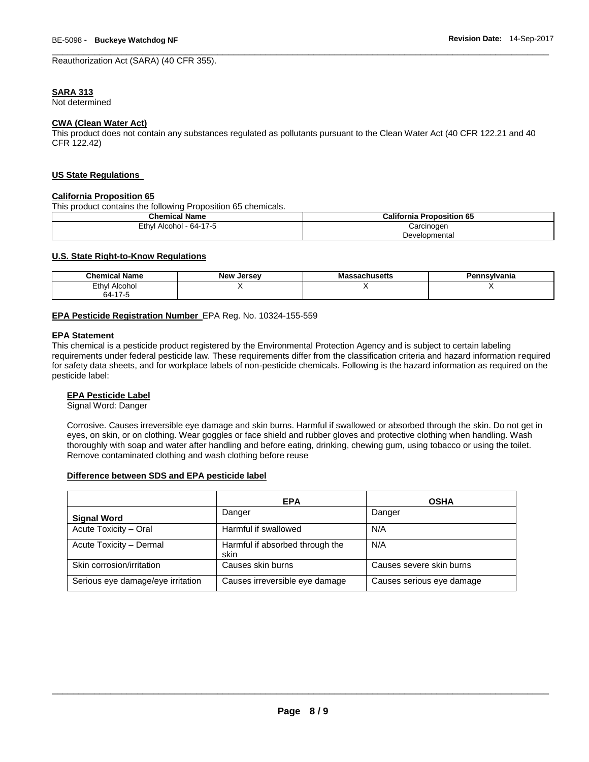Reauthorization Act (SARA) (40 CFR 355).

#### **SARA 313**

Not determined

#### **CWA (Clean Water Act)**

This product does not contain any substances regulated as pollutants pursuant to the Clean Water Act (40 CFR 122.21 and 40 CFR 122.42)

\_\_\_\_\_\_\_\_\_\_\_\_\_\_\_\_\_\_\_\_\_\_\_\_\_\_\_\_\_\_\_\_\_\_\_\_\_\_\_\_\_\_\_\_\_\_\_\_\_\_\_\_\_\_\_\_\_\_\_\_\_\_\_\_\_\_\_\_\_\_\_\_\_\_\_\_\_\_\_\_\_\_\_\_\_\_\_\_\_\_\_\_\_

#### **US State Regulations**

#### **California Proposition 65**

This product contains the following Proposition 65 chemicals.

| <b>Chemical Name</b>    | <b>California Proposition 65</b> |
|-------------------------|----------------------------------|
| Ethyl Alcohol - 64-17-5 | Carcinogen                       |
|                         | Developmental                    |

#### **U.S. State Right-to-Know Regulations**

| <b>Chemical Name</b> | . .<br><b>New Jersey</b> | <b>\ssachusetts</b><br>ша | Pennsvlvania |
|----------------------|--------------------------|---------------------------|--------------|
| Ethyl<br>Alcohol     |                          |                           |              |
| 64-17                |                          |                           |              |

#### **EPA Pesticide Registration Number** EPA Reg. No. 10324-155-559

#### **EPA Statement**

This chemical is a pesticide product registered by the Environmental Protection Agency and is subject to certain labeling requirements under federal pesticide law. These requirements differ from the classification criteria and hazard information required for safety data sheets, and for workplace labels of non-pesticide chemicals. Following is the hazard information as required on the pesticide label:

#### **EPA Pesticide Label**

Signal Word: Danger

Corrosive. Causes irreversible eye damage and skin burns. Harmful if swallowed or absorbed through the skin. Do not get in eyes, on skin, or on clothing. Wear goggles or face shield and rubber gloves and protective clothing when handling. Wash thoroughly with soap and water after handling and before eating, drinking, chewing gum, using tobacco or using the toilet. Remove contaminated clothing and wash clothing before reuse

### **Difference between SDS and EPA pesticide label**

|                                   | <b>EPA</b>                              | <b>OSHA</b>               |
|-----------------------------------|-----------------------------------------|---------------------------|
| <b>Signal Word</b>                | Danger                                  | Danger                    |
| Acute Toxicity - Oral             | Harmful if swallowed                    | N/A                       |
| Acute Toxicity - Dermal           | Harmful if absorbed through the<br>skin | N/A                       |
| Skin corrosion/irritation         | Causes skin burns                       | Causes severe skin burns  |
| Serious eye damage/eye irritation | Causes irreversible eye damage          | Causes serious eye damage |